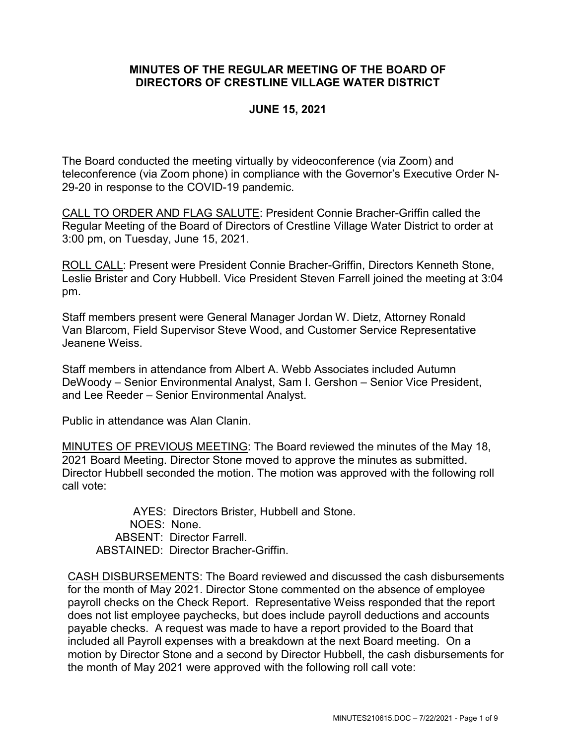## **MINUTES OF THE REGULAR MEETING OF THE BOARD OF DIRECTORS OF CRESTLINE VILLAGE WATER DISTRICT**

### **JUNE 15, 2021**

The Board conducted the meeting virtually by videoconference (via Zoom) and teleconference (via Zoom phone) in compliance with the Governor's Executive Order N-29-20 in response to the COVID-19 pandemic.

CALL TO ORDER AND FLAG SALUTE: President Connie Bracher-Griffin called the Regular Meeting of the Board of Directors of Crestline Village Water District to order at 3:00 pm, on Tuesday, June 15, 2021.

ROLL CALL: Present were President Connie Bracher-Griffin, Directors Kenneth Stone, Leslie Brister and Cory Hubbell. Vice President Steven Farrell joined the meeting at 3:04 pm.

Staff members present were General Manager Jordan W. Dietz, Attorney Ronald Van Blarcom, Field Supervisor Steve Wood, and Customer Service Representative Jeanene Weiss.

Staff members in attendance from Albert A. Webb Associates included Autumn DeWoody – Senior Environmental Analyst, Sam I. Gershon – Senior Vice President, and Lee Reeder – Senior Environmental Analyst.

Public in attendance was Alan Clanin.

MINUTES OF PREVIOUS MEETING: The Board reviewed the minutes of the May 18, 2021 Board Meeting. Director Stone moved to approve the minutes as submitted. Director Hubbell seconded the motion. The motion was approved with the following roll call vote:

AYES: Directors Brister, Hubbell and Stone. NOES: None. ABSENT: Director Farrell. ABSTAINED: Director Bracher-Griffin.

CASH DISBURSEMENTS: The Board reviewed and discussed the cash disbursements for the month of May 2021. Director Stone commented on the absence of employee payroll checks on the Check Report. Representative Weiss responded that the report does not list employee paychecks, but does include payroll deductions and accounts payable checks. A request was made to have a report provided to the Board that included all Payroll expenses with a breakdown at the next Board meeting. On a motion by Director Stone and a second by Director Hubbell, the cash disbursements for the month of May 2021 were approved with the following roll call vote: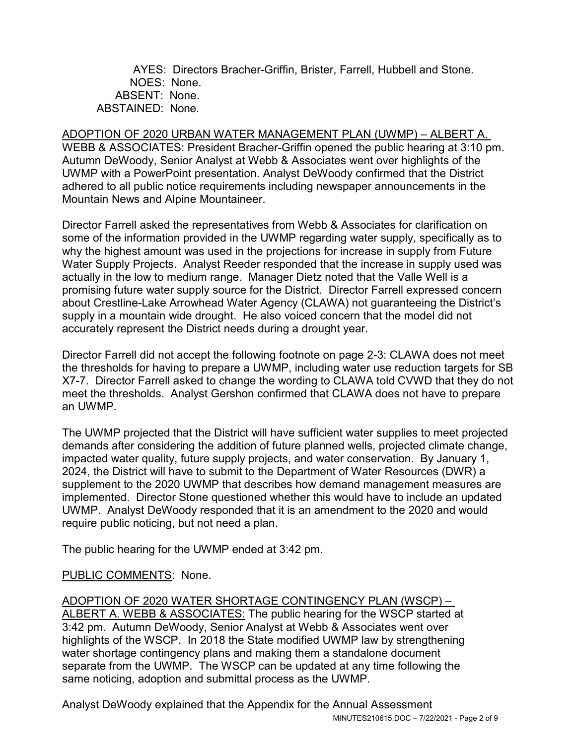AYES: Directors Bracher-Griffin, Brister, Farrell, Hubbell and Stone. NOES: None. ABSENT: None. ABSTAINED: None.

# ADOPTION OF 2020 URBAN WATER MANAGEMENT PLAN (UWMP) – ALBERT A.

WEBB & ASSOCIATES: President Bracher-Griffin opened the public hearing at 3:10 pm. Autumn DeWoody, Senior Analyst at Webb & Associates went over highlights of the UWMP with a PowerPoint presentation. Analyst DeWoody confirmed that the District adhered to all public notice requirements including newspaper announcements in the Mountain News and Alpine Mountaineer.

Director Farrell asked the representatives from Webb & Associates for clarification on some of the information provided in the UWMP regarding water supply, specifically as to why the highest amount was used in the projections for increase in supply from Future Water Supply Projects. Analyst Reeder responded that the increase in supply used was actually in the low to medium range. Manager Dietz noted that the Valle Well is a promising future water supply source for the District. Director Farrell expressed concern about Crestline-Lake Arrowhead Water Agency (CLAWA) not guaranteeing the District's supply in a mountain wide drought. He also voiced concern that the model did not accurately represent the District needs during a drought year.

Director Farrell did not accept the following footnote on page 2-3: CLAWA does not meet the thresholds for having to prepare a UWMP, including water use reduction targets for SB X7-7. Director Farrell asked to change the wording to CLAWA told CVWD that they do not meet the thresholds. Analyst Gershon confirmed that CLAWA does not have to prepare an UWMP.

The UWMP projected that the District will have sufficient water supplies to meet projected demands after considering the addition of future planned wells, projected climate change, impacted water quality, future supply projects, and water conservation. By January 1, 2024, the District will have to submit to the Department of Water Resources (DWR) a supplement to the 2020 UWMP that describes how demand management measures are implemented. Director Stone questioned whether this would have to include an updated UWMP. Analyst DeWoody responded that it is an amendment to the 2020 and would require public noticing, but not need a plan.

The public hearing for the UWMP ended at 3:42 pm.

### PUBLIC COMMENTS: None.

### ADOPTION OF 2020 WATER SHORTAGE CONTINGENCY PLAN (WSCP) – ALBERT A. WEBB & ASSOCIATES: The public hearing for the WSCP started at 3:42 pm. Autumn DeWoody, Senior Analyst at Webb & Associates went over highlights of the WSCP. In 2018 the State modified UWMP law by strengthening water shortage contingency plans and making them a standalone document separate from the UWMP. The WSCP can be updated at any time following the same noticing, adoption and submittal process as the UWMP.

MINUTES210615.DOC – 7/22/2021 - Page 2 of 9 Analyst DeWoody explained that the Appendix for the Annual Assessment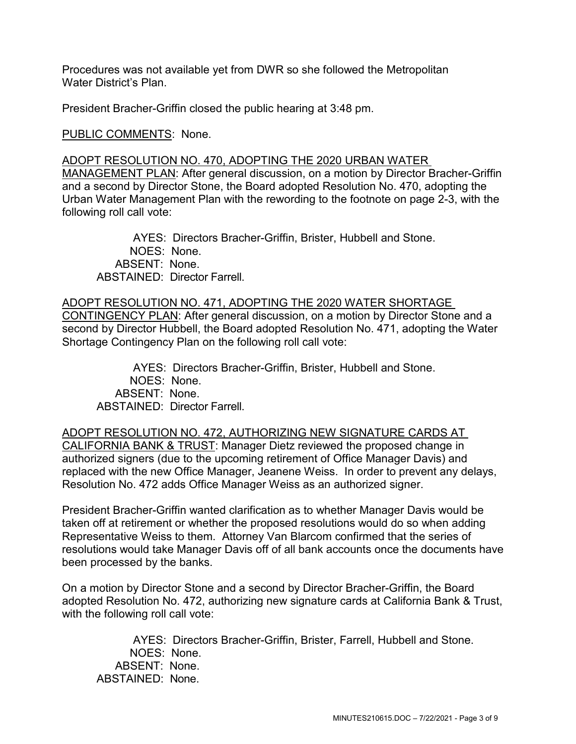Procedures was not available yet from DWR so she followed the Metropolitan Water District's Plan.

President Bracher-Griffin closed the public hearing at 3:48 pm.

PUBLIC COMMENTS: None.

#### ADOPT RESOLUTION NO. 470, ADOPTING THE 2020 URBAN WATER

MANAGEMENT PLAN: After general discussion, on a motion by Director Bracher-Griffin and a second by Director Stone, the Board adopted Resolution No. 470, adopting the Urban Water Management Plan with the rewording to the footnote on page 2-3, with the following roll call vote:

AYES: Directors Bracher-Griffin, Brister, Hubbell and Stone. NOES: None. ABSENT: None. ABSTAINED: Director Farrell.

ADOPT RESOLUTION NO. 471, ADOPTING THE 2020 WATER SHORTAGE CONTINGENCY PLAN: After general discussion, on a motion by Director Stone and a second by Director Hubbell, the Board adopted Resolution No. 471, adopting the Water Shortage Contingency Plan on the following roll call vote:

AYES: Directors Bracher-Griffin, Brister, Hubbell and Stone. NOES: None. ABSENT: None. ABSTAINED: Director Farrell.

ADOPT RESOLUTION NO. 472, AUTHORIZING NEW SIGNATURE CARDS AT CALIFORNIA BANK & TRUST: Manager Dietz reviewed the proposed change in authorized signers (due to the upcoming retirement of Office Manager Davis) and replaced with the new Office Manager, Jeanene Weiss. In order to prevent any delays, Resolution No. 472 adds Office Manager Weiss as an authorized signer.

President Bracher-Griffin wanted clarification as to whether Manager Davis would be taken off at retirement or whether the proposed resolutions would do so when adding Representative Weiss to them. Attorney Van Blarcom confirmed that the series of resolutions would take Manager Davis off of all bank accounts once the documents have been processed by the banks.

On a motion by Director Stone and a second by Director Bracher-Griffin, the Board adopted Resolution No. 472, authorizing new signature cards at California Bank & Trust, with the following roll call vote:

AYES: Directors Bracher-Griffin, Brister, Farrell, Hubbell and Stone. NOES: None. ABSENT: None. ABSTAINED: None.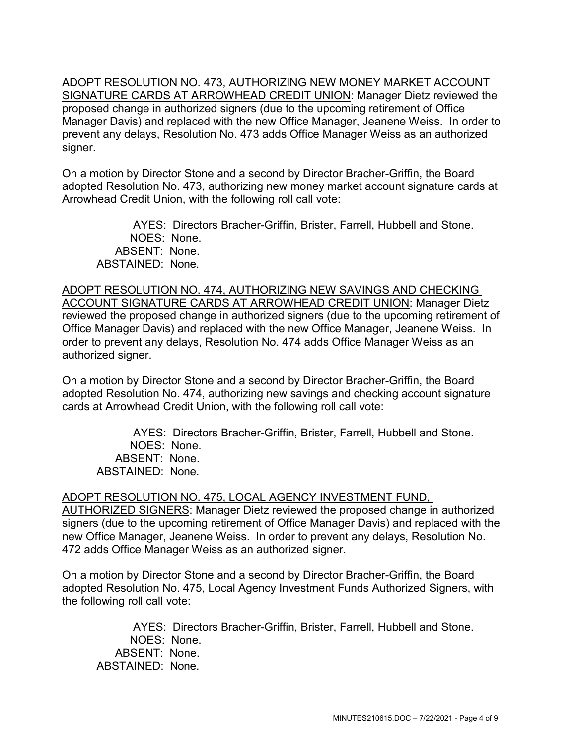ADOPT RESOLUTION NO. 473, AUTHORIZING NEW MONEY MARKET ACCOUNT SIGNATURE CARDS AT ARROWHEAD CREDIT UNION: Manager Dietz reviewed the proposed change in authorized signers (due to the upcoming retirement of Office Manager Davis) and replaced with the new Office Manager, Jeanene Weiss. In order to prevent any delays, Resolution No. 473 adds Office Manager Weiss as an authorized signer.

On a motion by Director Stone and a second by Director Bracher-Griffin, the Board adopted Resolution No. 473, authorizing new money market account signature cards at Arrowhead Credit Union, with the following roll call vote:

AYES: Directors Bracher-Griffin, Brister, Farrell, Hubbell and Stone. NOES: None. ABSENT: None. ABSTAINED: None.

ADOPT RESOLUTION NO. 474, AUTHORIZING NEW SAVINGS AND CHECKING ACCOUNT SIGNATURE CARDS AT ARROWHEAD CREDIT UNION: Manager Dietz reviewed the proposed change in authorized signers (due to the upcoming retirement of Office Manager Davis) and replaced with the new Office Manager, Jeanene Weiss. In order to prevent any delays, Resolution No. 474 adds Office Manager Weiss as an authorized signer.

On a motion by Director Stone and a second by Director Bracher-Griffin, the Board adopted Resolution No. 474, authorizing new savings and checking account signature cards at Arrowhead Credit Union, with the following roll call vote:

AYES: Directors Bracher-Griffin, Brister, Farrell, Hubbell and Stone. NOES: None. ABSENT: None. ABSTAINED: None.

ADOPT RESOLUTION NO. 475, LOCAL AGENCY INVESTMENT FUND, AUTHORIZED SIGNERS: Manager Dietz reviewed the proposed change in authorized signers (due to the upcoming retirement of Office Manager Davis) and replaced with the new Office Manager, Jeanene Weiss. In order to prevent any delays, Resolution No. 472 adds Office Manager Weiss as an authorized signer.

On a motion by Director Stone and a second by Director Bracher-Griffin, the Board adopted Resolution No. 475, Local Agency Investment Funds Authorized Signers, with the following roll call vote:

AYES: Directors Bracher-Griffin, Brister, Farrell, Hubbell and Stone. NOES: None. ABSENT: None. ABSTAINED: None.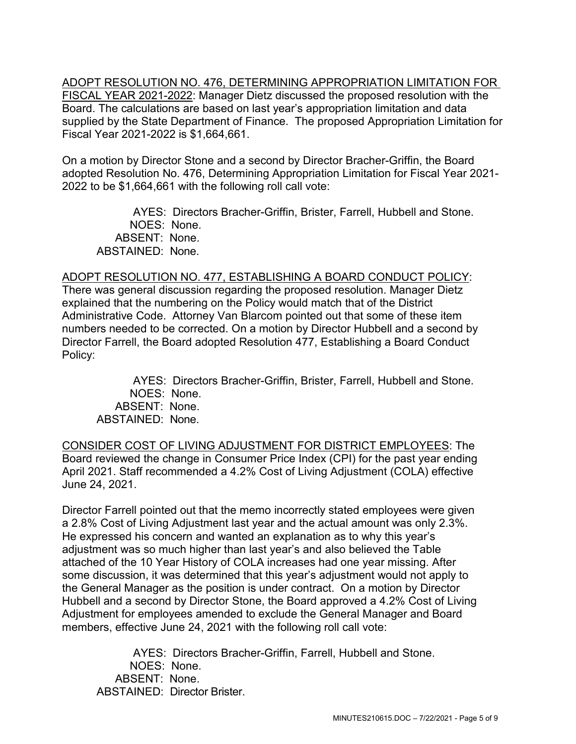ADOPT RESOLUTION NO. 476, DETERMINING APPROPRIATION LIMITATION FOR FISCAL YEAR 2021-2022: Manager Dietz discussed the proposed resolution with the Board. The calculations are based on last year's appropriation limitation and data supplied by the State Department of Finance. The proposed Appropriation Limitation for Fiscal Year 2021-2022 is \$1,664,661.

On a motion by Director Stone and a second by Director Bracher-Griffin, the Board adopted Resolution No. 476, Determining Appropriation Limitation for Fiscal Year 2021- 2022 to be \$1,664,661 with the following roll call vote:

AYES: Directors Bracher-Griffin, Brister, Farrell, Hubbell and Stone. NOES: None. ABSENT: None. ABSTAINED: None.

### ADOPT RESOLUTION NO. 477, ESTABLISHING A BOARD CONDUCT POLICY:

There was general discussion regarding the proposed resolution. Manager Dietz explained that the numbering on the Policy would match that of the District Administrative Code. Attorney Van Blarcom pointed out that some of these item numbers needed to be corrected. On a motion by Director Hubbell and a second by Director Farrell, the Board adopted Resolution 477, Establishing a Board Conduct Policy:

AYES: Directors Bracher-Griffin, Brister, Farrell, Hubbell and Stone. NOES: None. ABSENT: None. ABSTAINED: None.

CONSIDER COST OF LIVING ADJUSTMENT FOR DISTRICT EMPLOYEES: The Board reviewed the change in Consumer Price Index (CPI) for the past year ending April 2021. Staff recommended a 4.2% Cost of Living Adjustment (COLA) effective June 24, 2021.

Director Farrell pointed out that the memo incorrectly stated employees were given a 2.8% Cost of Living Adjustment last year and the actual amount was only 2.3%. He expressed his concern and wanted an explanation as to why this year's adjustment was so much higher than last year's and also believed the Table attached of the 10 Year History of COLA increases had one year missing. After some discussion, it was determined that this year's adjustment would not apply to the General Manager as the position is under contract. On a motion by Director Hubbell and a second by Director Stone, the Board approved a 4.2% Cost of Living Adjustment for employees amended to exclude the General Manager and Board members, effective June 24, 2021 with the following roll call vote:

AYES: Directors Bracher-Griffin, Farrell, Hubbell and Stone. NOES: None. ABSENT: None. ABSTAINED: Director Brister.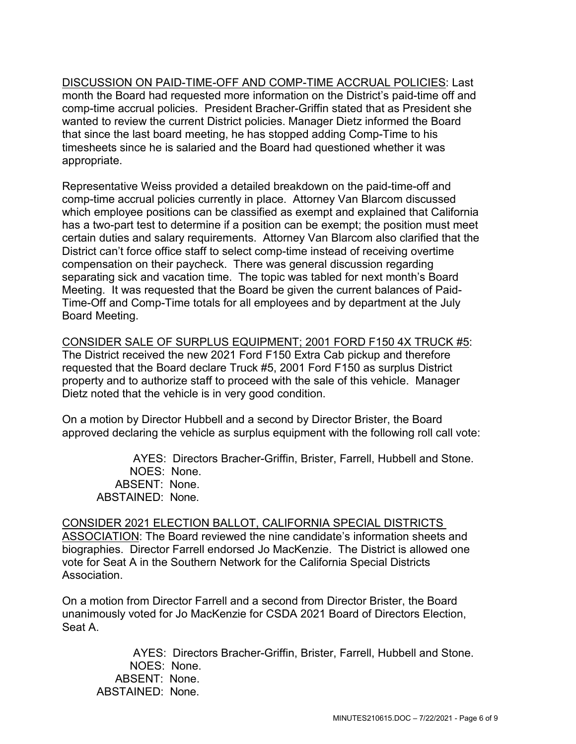DISCUSSION ON PAID-TIME-OFF AND COMP-TIME ACCRUAL POLICIES: Last month the Board had requested more information on the District's paid-time off and comp-time accrual policies. President Bracher-Griffin stated that as President she wanted to review the current District policies. Manager Dietz informed the Board that since the last board meeting, he has stopped adding Comp-Time to his timesheets since he is salaried and the Board had questioned whether it was appropriate.

Representative Weiss provided a detailed breakdown on the paid-time-off and comp-time accrual policies currently in place. Attorney Van Blarcom discussed which employee positions can be classified as exempt and explained that California has a two-part test to determine if a position can be exempt; the position must meet certain duties and salary requirements. Attorney Van Blarcom also clarified that the District can't force office staff to select comp-time instead of receiving overtime compensation on their paycheck. There was general discussion regarding separating sick and vacation time. The topic was tabled for next month's Board Meeting. It was requested that the Board be given the current balances of Paid-Time-Off and Comp-Time totals for all employees and by department at the July Board Meeting.

CONSIDER SALE OF SURPLUS EQUIPMENT; 2001 FORD F150 4X TRUCK #5: The District received the new 2021 Ford F150 Extra Cab pickup and therefore requested that the Board declare Truck #5, 2001 Ford F150 as surplus District property and to authorize staff to proceed with the sale of this vehicle. Manager Dietz noted that the vehicle is in very good condition.

On a motion by Director Hubbell and a second by Director Brister, the Board approved declaring the vehicle as surplus equipment with the following roll call vote:

AYES: Directors Bracher-Griffin, Brister, Farrell, Hubbell and Stone. NOES: None. ABSENT: None. ABSTAINED: None.

CONSIDER 2021 ELECTION BALLOT, CALIFORNIA SPECIAL DISTRICTS ASSOCIATION: The Board reviewed the nine candidate's information sheets and biographies. Director Farrell endorsed Jo MacKenzie. The District is allowed one vote for Seat A in the Southern Network for the California Special Districts Association.

On a motion from Director Farrell and a second from Director Brister, the Board unanimously voted for Jo MacKenzie for CSDA 2021 Board of Directors Election, Seat A.

AYES: Directors Bracher-Griffin, Brister, Farrell, Hubbell and Stone. NOES: None. ABSENT: None. ABSTAINED: None.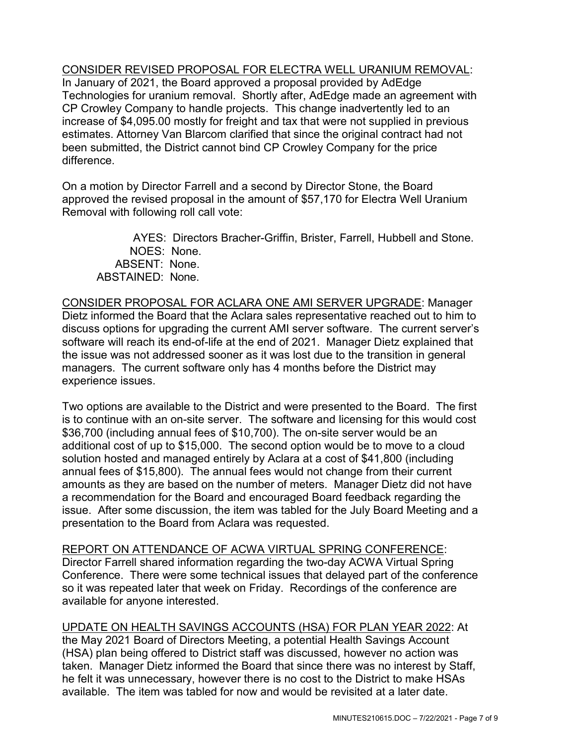CONSIDER REVISED PROPOSAL FOR ELECTRA WELL URANIUM REMOVAL:

In January of 2021, the Board approved a proposal provided by AdEdge Technologies for uranium removal. Shortly after, AdEdge made an agreement with CP Crowley Company to handle projects. This change inadvertently led to an increase of \$4,095.00 mostly for freight and tax that were not supplied in previous estimates. Attorney Van Blarcom clarified that since the original contract had not been submitted, the District cannot bind CP Crowley Company for the price difference.

On a motion by Director Farrell and a second by Director Stone, the Board approved the revised proposal in the amount of \$57,170 for Electra Well Uranium Removal with following roll call vote:

AYES: Directors Bracher-Griffin, Brister, Farrell, Hubbell and Stone. NOES: None. ABSENT: None. ABSTAINED: None.

CONSIDER PROPOSAL FOR ACLARA ONE AMI SERVER UPGRADE: Manager Dietz informed the Board that the Aclara sales representative reached out to him to discuss options for upgrading the current AMI server software. The current server's software will reach its end-of-life at the end of 2021. Manager Dietz explained that the issue was not addressed sooner as it was lost due to the transition in general managers. The current software only has 4 months before the District may experience issues.

Two options are available to the District and were presented to the Board. The first is to continue with an on-site server. The software and licensing for this would cost \$36,700 (including annual fees of \$10,700). The on-site server would be an additional cost of up to \$15,000. The second option would be to move to a cloud solution hosted and managed entirely by Aclara at a cost of \$41,800 (including annual fees of \$15,800). The annual fees would not change from their current amounts as they are based on the number of meters. Manager Dietz did not have a recommendation for the Board and encouraged Board feedback regarding the issue. After some discussion, the item was tabled for the July Board Meeting and a presentation to the Board from Aclara was requested.

REPORT ON ATTENDANCE OF ACWA VIRTUAL SPRING CONFERENCE: Director Farrell shared information regarding the two-day ACWA Virtual Spring Conference. There were some technical issues that delayed part of the conference so it was repeated later that week on Friday. Recordings of the conference are available for anyone interested.

UPDATE ON HEALTH SAVINGS ACCOUNTS (HSA) FOR PLAN YEAR 2022: At the May 2021 Board of Directors Meeting, a potential Health Savings Account (HSA) plan being offered to District staff was discussed, however no action was taken. Manager Dietz informed the Board that since there was no interest by Staff, he felt it was unnecessary, however there is no cost to the District to make HSAs available. The item was tabled for now and would be revisited at a later date.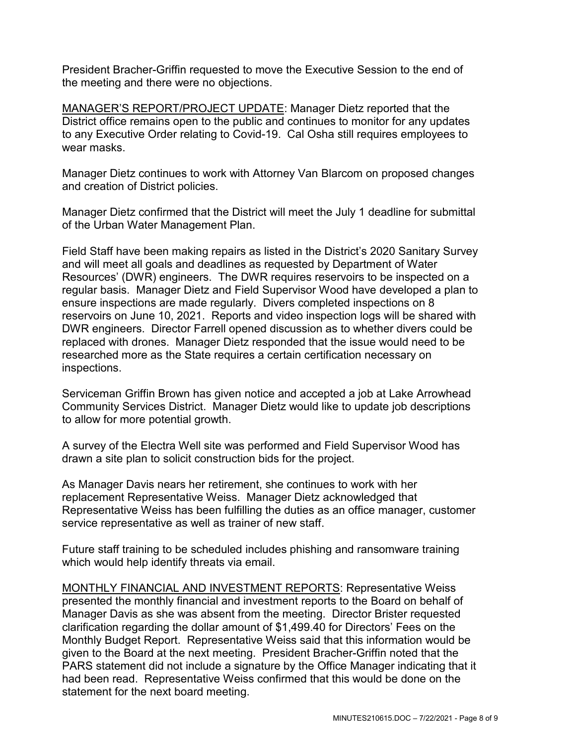President Bracher-Griffin requested to move the Executive Session to the end of the meeting and there were no objections.

MANAGER'S REPORT/PROJECT UPDATE: Manager Dietz reported that the District office remains open to the public and continues to monitor for any updates to any Executive Order relating to Covid-19. Cal Osha still requires employees to wear masks.

Manager Dietz continues to work with Attorney Van Blarcom on proposed changes and creation of District policies.

Manager Dietz confirmed that the District will meet the July 1 deadline for submittal of the Urban Water Management Plan.

Field Staff have been making repairs as listed in the District's 2020 Sanitary Survey and will meet all goals and deadlines as requested by Department of Water Resources' (DWR) engineers. The DWR requires reservoirs to be inspected on a regular basis. Manager Dietz and Field Supervisor Wood have developed a plan to ensure inspections are made regularly. Divers completed inspections on 8 reservoirs on June 10, 2021. Reports and video inspection logs will be shared with DWR engineers. Director Farrell opened discussion as to whether divers could be replaced with drones. Manager Dietz responded that the issue would need to be researched more as the State requires a certain certification necessary on inspections.

Serviceman Griffin Brown has given notice and accepted a job at Lake Arrowhead Community Services District. Manager Dietz would like to update job descriptions to allow for more potential growth.

A survey of the Electra Well site was performed and Field Supervisor Wood has drawn a site plan to solicit construction bids for the project.

As Manager Davis nears her retirement, she continues to work with her replacement Representative Weiss. Manager Dietz acknowledged that Representative Weiss has been fulfilling the duties as an office manager, customer service representative as well as trainer of new staff.

Future staff training to be scheduled includes phishing and ransomware training which would help identify threats via email.

MONTHLY FINANCIAL AND INVESTMENT REPORTS: Representative Weiss presented the monthly financial and investment reports to the Board on behalf of Manager Davis as she was absent from the meeting. Director Brister requested clarification regarding the dollar amount of \$1,499.40 for Directors' Fees on the Monthly Budget Report. Representative Weiss said that this information would be given to the Board at the next meeting. President Bracher-Griffin noted that the PARS statement did not include a signature by the Office Manager indicating that it had been read. Representative Weiss confirmed that this would be done on the statement for the next board meeting.